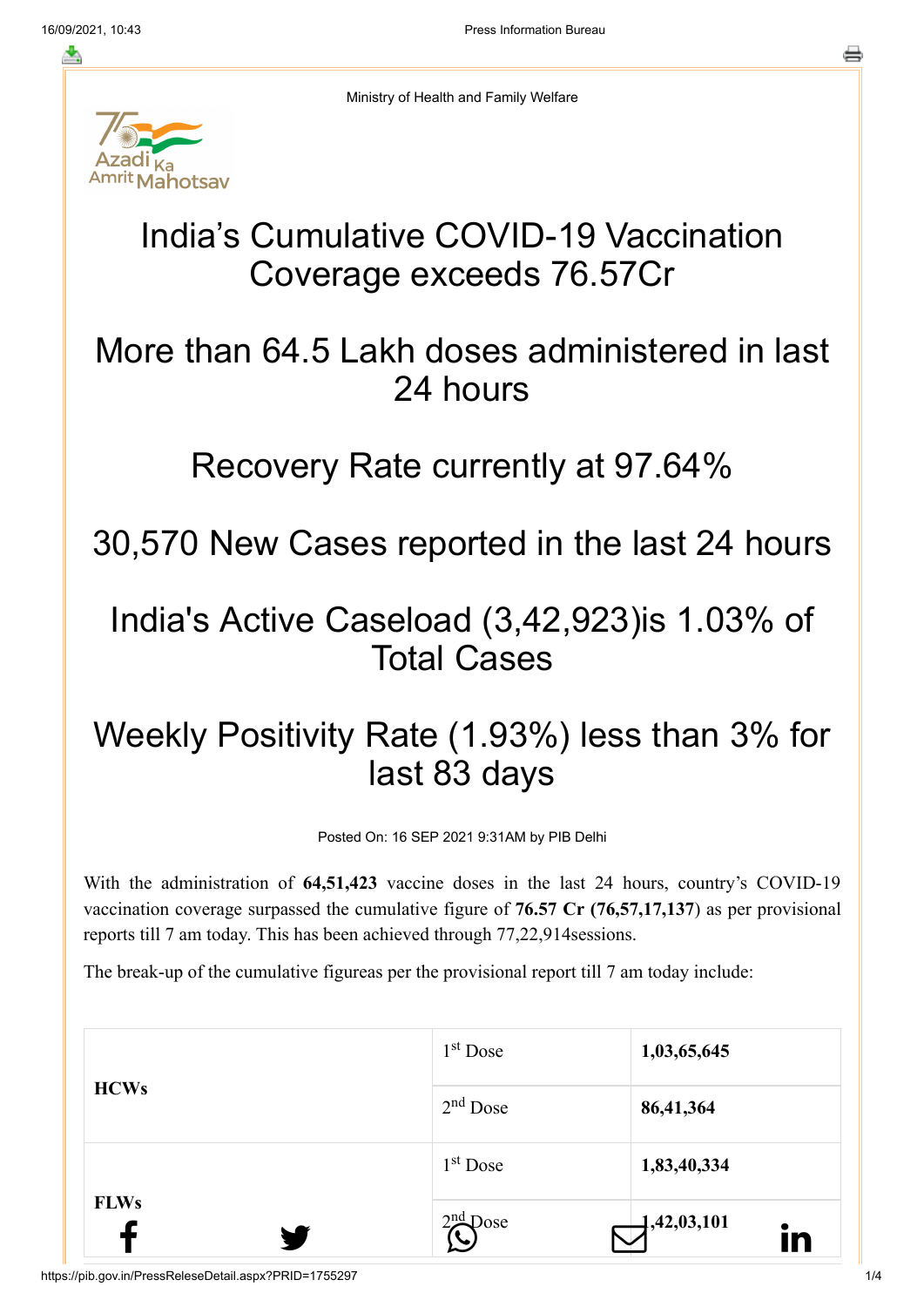Ministry of Health and Family Welfare

# ahotsav

#### India's Cumulative COVID-19 Vaccination Coverage exceeds 76.57Cr

## More than 64.5 Lakh doses administered in last 24 hours

### Recovery Rate currently at 97.64%

30,570 New Cases reported in the last 24 hours

### India's Active Caseload (3,42,923)is 1.03% of Total Cases

## Weekly Positivity Rate (1.93%) less than 3% for last 83 days

Posted On: 16 SEP 2021 9:31AM by PIB Delhi

With the administration of **64,51,423** vaccine doses in the last 24 hours, country's COVID-19 vaccination coverage surpassed the cumulative figure of **76.57 Cr (76,57,17,137**) as per provisional reports till 7 am today. This has been achieved through 77,22,914sessions.

The break-up of the cumulative figureas per the provisional report till 7 am today include:

| <b>FLWs</b><br>W | $2nd$ Dose | $\bigoplus$ ,42,03,101<br>in |
|------------------|------------|------------------------------|
|                  | $1st$ Dose | 1,83,40,334                  |
| <b>HCWs</b>      | $2nd$ Dose | 86,41,364                    |
|                  | $1st$ Dose | 1,03,65,645                  |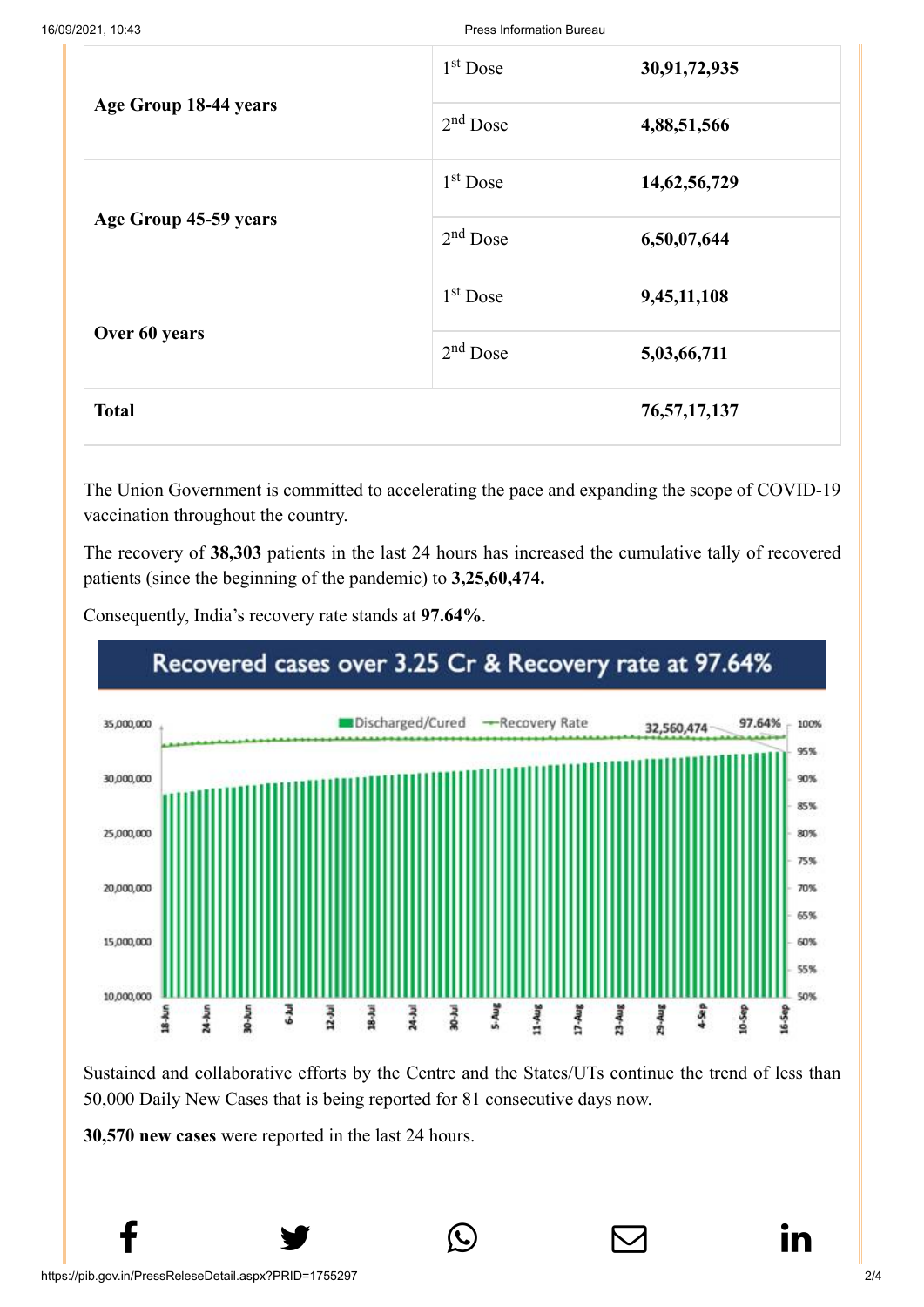|                       | $1st$ Dose           | 30,91,72,935    |
|-----------------------|----------------------|-----------------|
| Age Group 18-44 years | $2nd$ Dose           | 4,88,51,566     |
|                       | $1st$ Dose           | 14, 62, 56, 729 |
| Age Group 45-59 years | $2nd$ Dose           | 6,50,07,644     |
|                       | 1 <sup>st</sup> Dose | 9,45,11,108     |
| Over 60 years         | $2nd$ Dose           | 5,03,66,711     |
| <b>Total</b>          |                      | 76, 57, 17, 137 |

The Union Government is committed to accelerating the pace and expanding the scope of COVID-19 vaccination throughout the country.

The recovery of **38,303** patients in the last 24 hours has increased the cumulative tally of recovered patients (since the beginning of the pandemic) to **3,25,60,474.**



Consequently, India's recovery rate stands at **97.64%**.

Sustained and collaborative efforts by the Centre and the States/UTs continue the trend of less than 50,000 Daily New Cases that is being reported for 81 consecutive days now.

 $f$  y  $\circledcirc$   $\quad \circledcirc$  in

**30,570 new cases** were reported in the last 24 hours.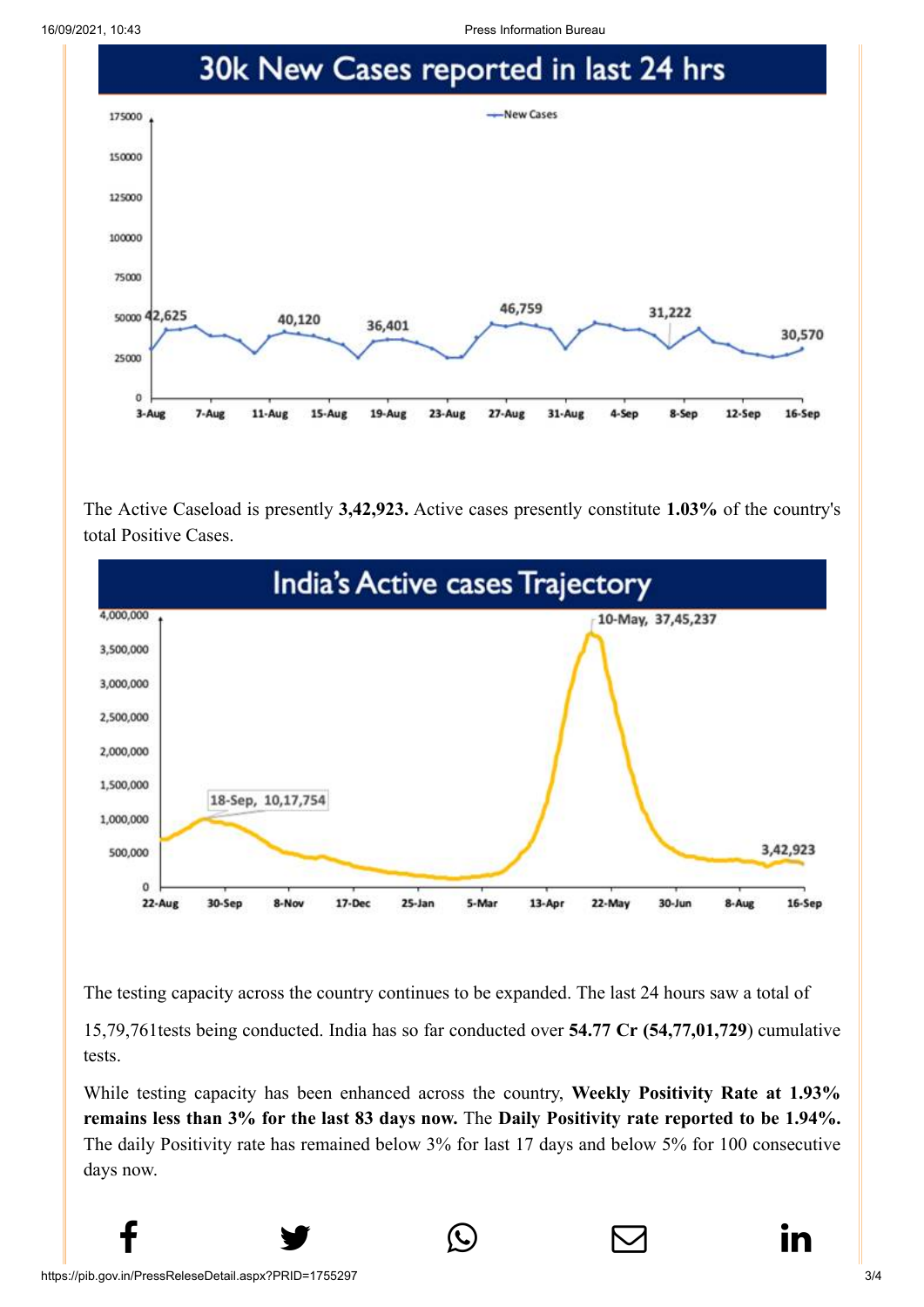16/09/2021, 10:43 Press Information Bureau



The Active Caseload is presently **3,42,923.** Active cases presently constitute **1.03%** of the country's total Positive Cases.



The testing capacity across the country continues to be expanded. The last 24 hours saw a total of

15,79,761tests being conducted. India has so far conducted over **54.77 Cr (54,77,01,729**) cumulative tests.

While testing capacity has been enhanced across the country, **Weekly Positivity Rate at 1.93% remains less than 3% for the last 83 days now.** The **Daily Positivity rate reported to be 1.94%.** The daily Positivity rate has remained below 3% for last 17 days and below 5% for 100 consecutive days now.

 $f$  y  $\circledcirc$   $\quad \circledcirc$  in